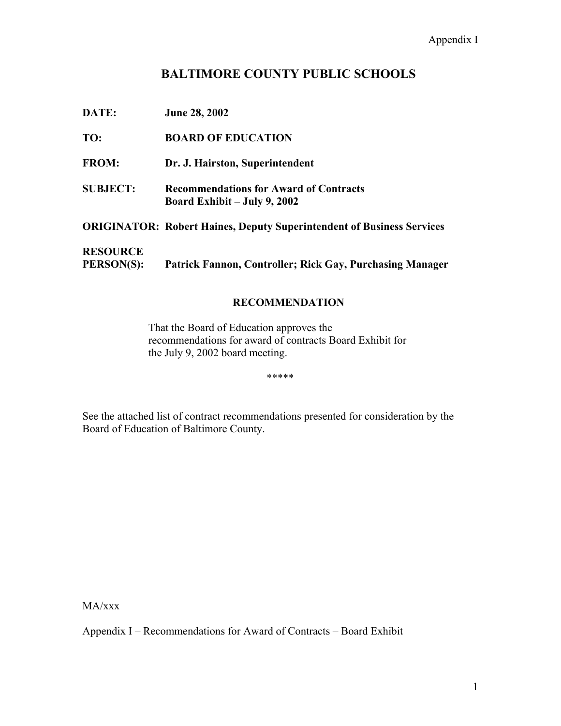# **BALTIMORE COUNTY PUBLIC SCHOOLS**

| DATE:                                | <b>June 28, 2002</b>                                                            |
|--------------------------------------|---------------------------------------------------------------------------------|
| TO:                                  | <b>BOARD OF EDUCATION</b>                                                       |
| <b>FROM:</b>                         | Dr. J. Hairston, Superintendent                                                 |
| <b>SUBJECT:</b>                      | <b>Recommendations for Award of Contracts</b><br>Board Exhibit $-$ July 9, 2002 |
|                                      | <b>ORIGINATOR: Robert Haines, Deputy Superintendent of Business Services</b>    |
| <b>RESOURCE</b><br><b>PERSON(S):</b> | Patrick Fannon, Controller; Rick Gay, Purchasing Manager                        |

# **RECOMMENDATION**

That the Board of Education approves the recommendations for award of contracts Board Exhibit for the July 9, 2002 board meeting.

\*\*\*\*\*

See the attached list of contract recommendations presented for consideration by the Board of Education of Baltimore County.

MA/xxx

Appendix I – Recommendations for Award of Contracts – Board Exhibit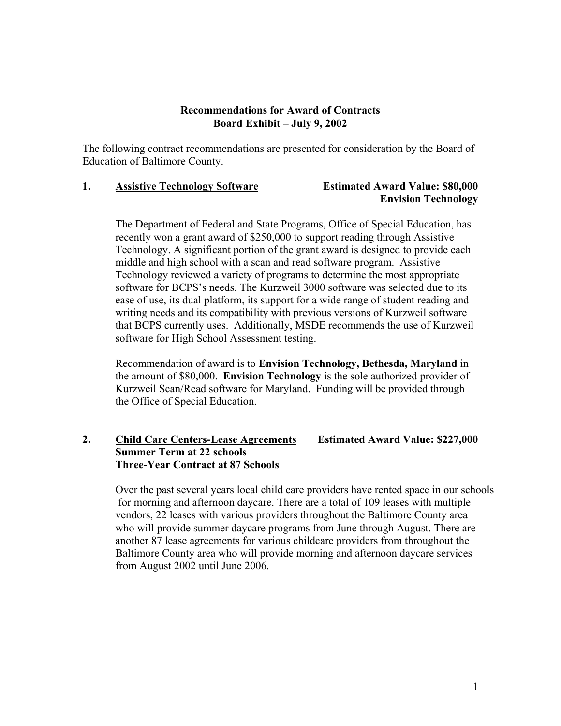### **Recommendations for Award of Contracts Board Exhibit – July 9, 2002**

The following contract recommendations are presented for consideration by the Board of Education of Baltimore County.

#### **1. Assistive Technology Software Estimated Award Value: \$80,000**

# **Envision Technology**

The Department of Federal and State Programs, Office of Special Education, has recently won a grant award of \$250,000 to support reading through Assistive Technology. A significant portion of the grant award is designed to provide each middle and high school with a scan and read software program. Assistive Technology reviewed a variety of programs to determine the most appropriate software for BCPS's needs. The Kurzweil 3000 software was selected due to its ease of use, its dual platform, its support for a wide range of student reading and writing needs and its compatibility with previous versions of Kurzweil software that BCPS currently uses. Additionally, MSDE recommends the use of Kurzweil software for High School Assessment testing.

Recommendation of award is to **Envision Technology, Bethesda, Maryland** in the amount of \$80,000. **Envision Technology** is the sole authorized provider of Kurzweil Scan/Read software for Maryland. Funding will be provided through the Office of Special Education.

# **2. Child Care Centers-Lease Agreements Estimated Award Value: \$227,000 Summer Term at 22 schools Three-Year Contract at 87 Schools**

Over the past several years local child care providers have rented space in our schools for morning and afternoon daycare. There are a total of 109 leases with multiple vendors, 22 leases with various providers throughout the Baltimore County area who will provide summer daycare programs from June through August. There are another 87 lease agreements for various childcare providers from throughout the Baltimore County area who will provide morning and afternoon daycare services from August 2002 until June 2006.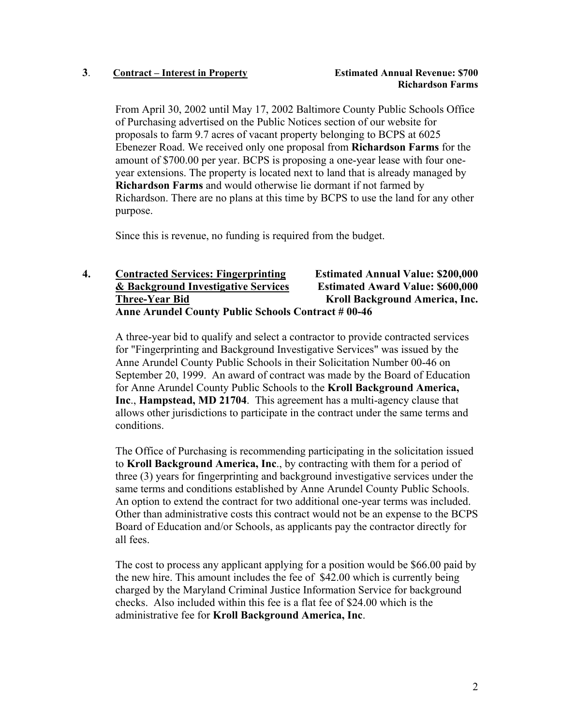### **3**. **Contract – Interest in Property Estimated Annual Revenue: \$700**

From April 30, 2002 until May 17, 2002 Baltimore County Public Schools Office of Purchasing advertised on the Public Notices section of our website for proposals to farm 9.7 acres of vacant property belonging to BCPS at 6025 Ebenezer Road. We received only one proposal from **Richardson Farms** for the amount of \$700.00 per year. BCPS is proposing a one-year lease with four oneyear extensions. The property is located next to land that is already managed by **Richardson Farms** and would otherwise lie dormant if not farmed by Richardson. There are no plans at this time by BCPS to use the land for any other purpose.

Since this is revenue, no funding is required from the budget.

# **4. Contracted Services: Fingerprinting Estimated Annual Value: \$200,000 & Background Investigative Services Estimated Award Value: \$600,000 Three-Year Bid Kroll Background America, Inc. Anne Arundel County Public Schools Contract # 00-46**

A three-year bid to qualify and select a contractor to provide contracted services for "Fingerprinting and Background Investigative Services" was issued by the Anne Arundel County Public Schools in their Solicitation Number 00-46 on September 20, 1999. An award of contract was made by the Board of Education for Anne Arundel County Public Schools to the **Kroll Background America, Inc**., **Hampstead, MD 21704**. This agreement has a multi-agency clause that allows other jurisdictions to participate in the contract under the same terms and conditions.

The Office of Purchasing is recommending participating in the solicitation issued to **Kroll Background America, Inc**., by contracting with them for a period of three (3) years for fingerprinting and background investigative services under the same terms and conditions established by Anne Arundel County Public Schools. An option to extend the contract for two additional one-year terms was included. Other than administrative costs this contract would not be an expense to the BCPS Board of Education and/or Schools, as applicants pay the contractor directly for all fees.

The cost to process any applicant applying for a position would be \$66.00 paid by the new hire. This amount includes the fee of \$42.00 which is currently being charged by the Maryland Criminal Justice Information Service for background checks. Also included within this fee is a flat fee of \$24.00 which is the administrative fee for **Kroll Background America, Inc**.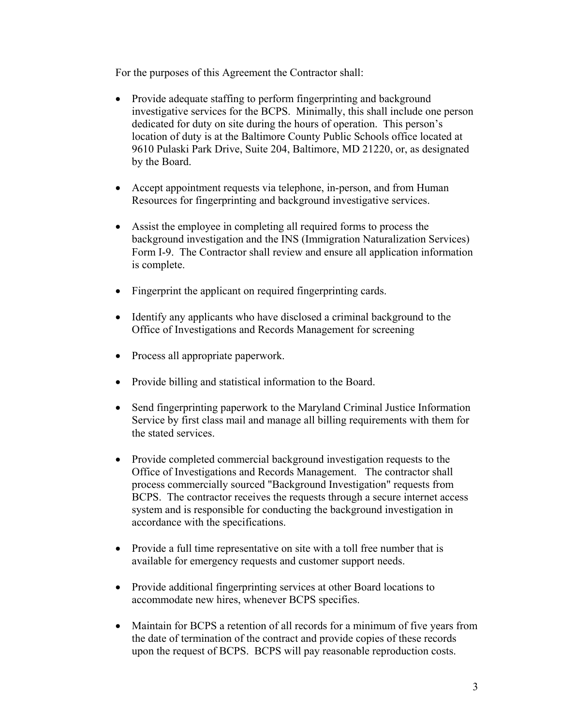For the purposes of this Agreement the Contractor shall:

- Provide adequate staffing to perform fingerprinting and background investigative services for the BCPS. Minimally, this shall include one person dedicated for duty on site during the hours of operation. This person's location of duty is at the Baltimore County Public Schools office located at 9610 Pulaski Park Drive, Suite 204, Baltimore, MD 21220, or, as designated by the Board.
- Accept appointment requests via telephone, in-person, and from Human Resources for fingerprinting and background investigative services.
- Assist the employee in completing all required forms to process the background investigation and the INS (Immigration Naturalization Services) Form I-9. The Contractor shall review and ensure all application information is complete.
- Fingerprint the applicant on required fingerprinting cards.
- Identify any applicants who have disclosed a criminal background to the Office of Investigations and Records Management for screening
- Process all appropriate paperwork.
- Provide billing and statistical information to the Board.
- Send fingerprinting paperwork to the Maryland Criminal Justice Information Service by first class mail and manage all billing requirements with them for the stated services.
- Provide completed commercial background investigation requests to the Office of Investigations and Records Management. The contractor shall process commercially sourced "Background Investigation" requests from BCPS. The contractor receives the requests through a secure internet access system and is responsible for conducting the background investigation in accordance with the specifications.
- Provide a full time representative on site with a toll free number that is available for emergency requests and customer support needs.
- Provide additional fingerprinting services at other Board locations to accommodate new hires, whenever BCPS specifies.
- Maintain for BCPS a retention of all records for a minimum of five years from the date of termination of the contract and provide copies of these records upon the request of BCPS. BCPS will pay reasonable reproduction costs.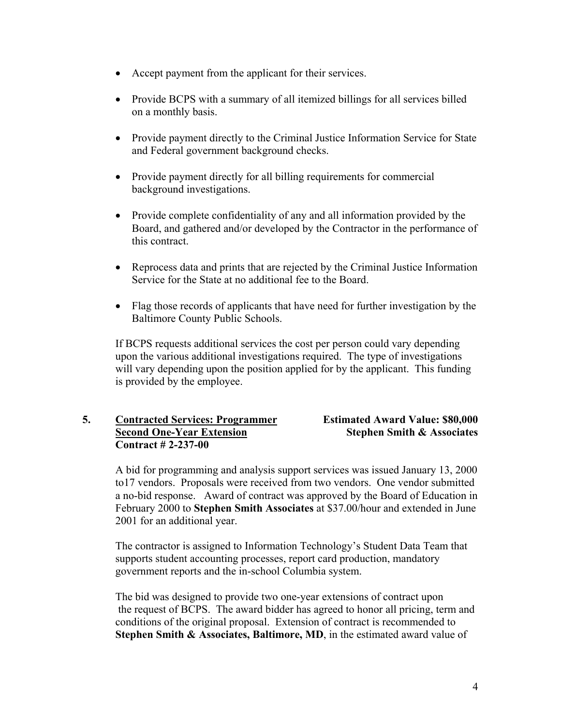- Accept payment from the applicant for their services.
- Provide BCPS with a summary of all itemized billings for all services billed on a monthly basis.
- Provide payment directly to the Criminal Justice Information Service for State and Federal government background checks.
- Provide payment directly for all billing requirements for commercial background investigations.
- Provide complete confidentiality of any and all information provided by the Board, and gathered and/or developed by the Contractor in the performance of this contract.
- Reprocess data and prints that are rejected by the Criminal Justice Information Service for the State at no additional fee to the Board.
- Flag those records of applicants that have need for further investigation by the Baltimore County Public Schools.

If BCPS requests additional services the cost per person could vary depending upon the various additional investigations required. The type of investigations will vary depending upon the position applied for by the applicant. This funding is provided by the employee.

# **5. Contracted Services: Programmer Estimated Award Value: \$80,000 Second One-Year Extension Stephen Smith & Associates Contract # 2-237-00**

A bid for programming and analysis support services was issued January 13, 2000 to17 vendors. Proposals were received from two vendors. One vendor submitted a no-bid response. Award of contract was approved by the Board of Education in February 2000 to **Stephen Smith Associates** at \$37.00/hour and extended in June 2001 for an additional year.

 The contractor is assigned to Information Technology's Student Data Team that supports student accounting processes, report card production, mandatory government reports and the in-school Columbia system.

The bid was designed to provide two one-year extensions of contract upon the request of BCPS. The award bidder has agreed to honor all pricing, term and conditions of the original proposal. Extension of contract is recommended to **Stephen Smith & Associates, Baltimore, MD**, in the estimated award value of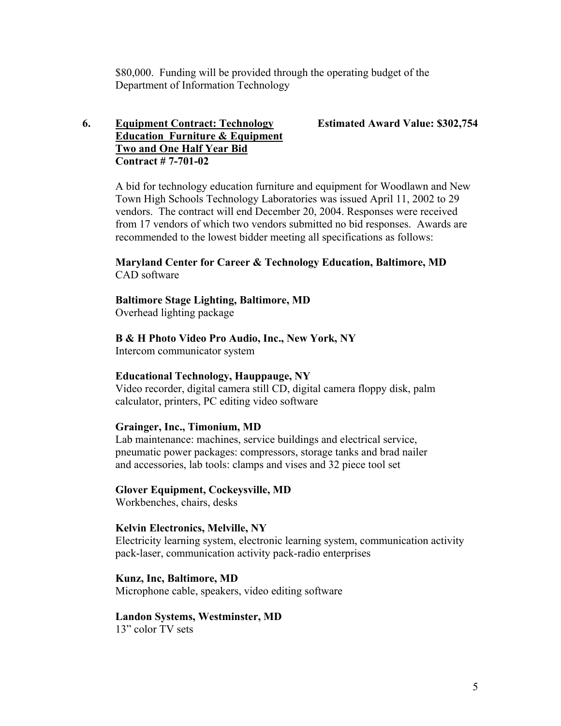\$80,000. Funding will be provided through the operating budget of the Department of Information Technology

# **6. Equipment Contract: Technology Estimated Award Value: \$302,754 Education Furniture & Equipment Two and One Half Year Bid Contract # 7-701-02**

A bid for technology education furniture and equipment for Woodlawn and New Town High Schools Technology Laboratories was issued April 11, 2002 to 29 vendors. The contract will end December 20, 2004. Responses were received from 17 vendors of which two vendors submitted no bid responses. Awards are recommended to the lowest bidder meeting all specifications as follows:

### **Maryland Center for Career & Technology Education, Baltimore, MD**  CAD software

#### **Baltimore Stage Lighting, Baltimore, MD**

Overhead lighting package

#### **B & H Photo Video Pro Audio, Inc., New York, NY**

Intercom communicator system

#### **Educational Technology, Hauppauge, NY**

Video recorder, digital camera still CD, digital camera floppy disk, palm calculator, printers, PC editing video software

#### **Grainger, Inc., Timonium, MD**

Lab maintenance: machines, service buildings and electrical service, pneumatic power packages: compressors, storage tanks and brad nailer and accessories, lab tools: clamps and vises and 32 piece tool set

### **Glover Equipment, Cockeysville, MD**

Workbenches, chairs, desks

#### **Kelvin Electronics, Melville, NY**

Electricity learning system, electronic learning system, communication activity pack-laser, communication activity pack-radio enterprises

#### **Kunz, Inc, Baltimore, MD**

Microphone cable, speakers, video editing software

#### **Landon Systems, Westminster, MD**

13" color TV sets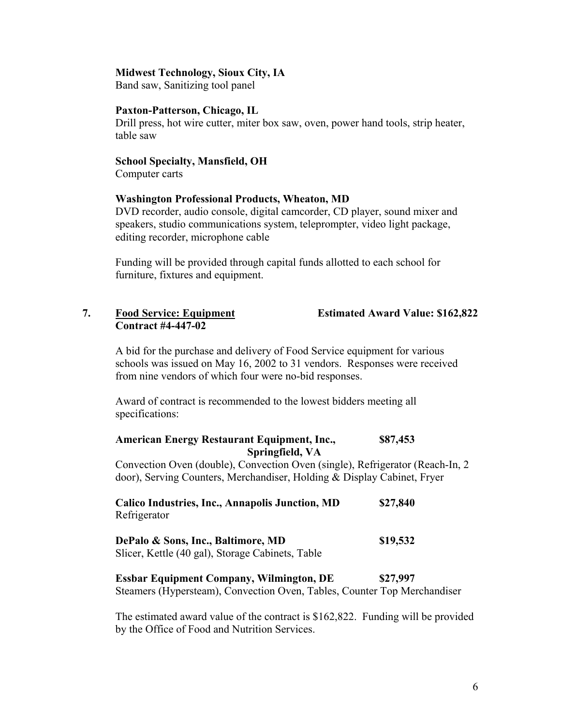#### **Midwest Technology, Sioux City, IA**

Band saw, Sanitizing tool panel

#### **Paxton-Patterson, Chicago, IL**

Drill press, hot wire cutter, miter box saw, oven, power hand tools, strip heater, table saw

#### **School Specialty, Mansfield, OH**

Computer carts

### **Washington Professional Products, Wheaton, MD**

DVD recorder, audio console, digital camcorder, CD player, sound mixer and speakers, studio communications system, teleprompter, video light package, editing recorder, microphone cable

Funding will be provided through capital funds allotted to each school for furniture, fixtures and equipment.

#### **7. Food Service: Equipment Estimated Award Value: \$162,822 Contract #4-447-02**

A bid for the purchase and delivery of Food Service equipment for various schools was issued on May 16, 2002 to 31 vendors. Responses were received from nine vendors of which four were no-bid responses.

Award of contract is recommended to the lowest bidders meeting all specifications:

| American Energy Restaurant Equipment, Inc., | \$87,453 |
|---------------------------------------------|----------|
| Springfield, VA                             |          |

Convection Oven (double), Convection Oven (single), Refrigerator (Reach-In, 2 door), Serving Counters, Merchandiser, Holding & Display Cabinet, Fryer

**Calico Industries, Inc., Annapolis Junction, MD \$27,840**  Refrigerator

| DePalo & Sons, Inc., Baltimore, MD               | \$19,532 |
|--------------------------------------------------|----------|
| Slicer, Kettle (40 gal), Storage Cabinets, Table |          |

**Essbar Equipment Company, Wilmington, DE** \$27,997 Steamers (Hypersteam), Convection Oven, Tables, Counter Top Merchandiser

The estimated award value of the contract is \$162,822. Funding will be provided by the Office of Food and Nutrition Services.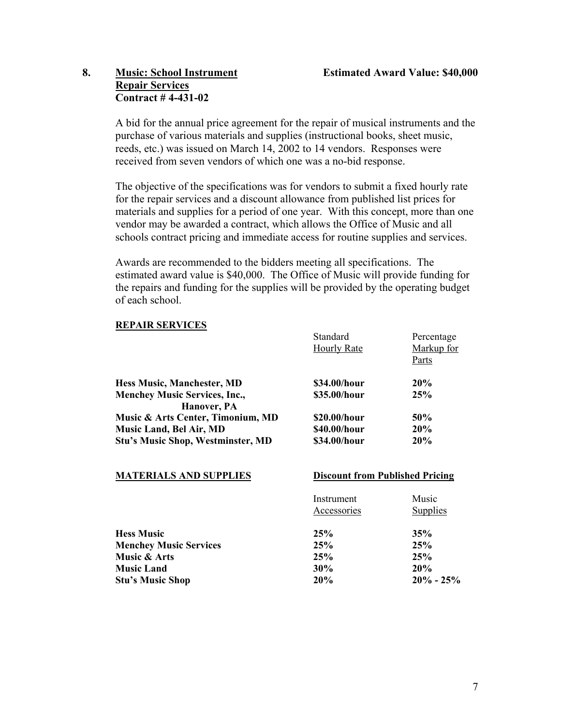# **8. Music: School Instrument Estimated Award Value: \$40,000 Repair Services Contract # 4-431-02**

A bid for the annual price agreement for the repair of musical instruments and the purchase of various materials and supplies (instructional books, sheet music, reeds, etc.) was issued on March 14, 2002 to 14 vendors. Responses were received from seven vendors of which one was a no-bid response.

The objective of the specifications was for vendors to submit a fixed hourly rate for the repair services and a discount allowance from published list prices for materials and supplies for a period of one year. With this concept, more than one vendor may be awarded a contract, which allows the Office of Music and all schools contract pricing and immediate access for routine supplies and services.

Awards are recommended to the bidders meeting all specifications. The estimated award value is \$40,000. The Office of Music will provide funding for the repairs and funding for the supplies will be provided by the operating budget of each school.

# **REPAIR SERVICES**

|                                                     | Standard                               | Percentage      |
|-----------------------------------------------------|----------------------------------------|-----------------|
|                                                     | <b>Hourly Rate</b>                     | Markup for      |
|                                                     |                                        | Parts           |
| <b>Hess Music, Manchester, MD</b>                   | \$34.00/hour                           | 20%             |
| <b>Menchey Music Services, Inc.,</b><br>Hanover, PA | \$35.00/hour                           | 25%             |
| Music & Arts Center, Timonium, MD                   | \$20.00/hour                           | 50%             |
| Music Land, Bel Air, MD                             | \$40.00/hour                           | 20%             |
| <b>Stu's Music Shop, Westminster, MD</b>            | \$34.00/hour                           | 20%             |
| <b>MATERIALS AND SUPPLIES</b>                       | <b>Discount from Published Pricing</b> |                 |
|                                                     | Instrument                             | Music           |
|                                                     | Accessories                            | <b>Supplies</b> |
| <b>Hess Music</b>                                   | 25%                                    | 35%             |
| <b>Menchey Music Services</b>                       | 25%                                    | 25%             |
| Music & Arts                                        | 25%                                    | 25%             |
| <b>Music Land</b>                                   | 30%                                    | 20%             |
| <b>Stu's Music Shop</b>                             | 20%                                    | $20\% - 25\%$   |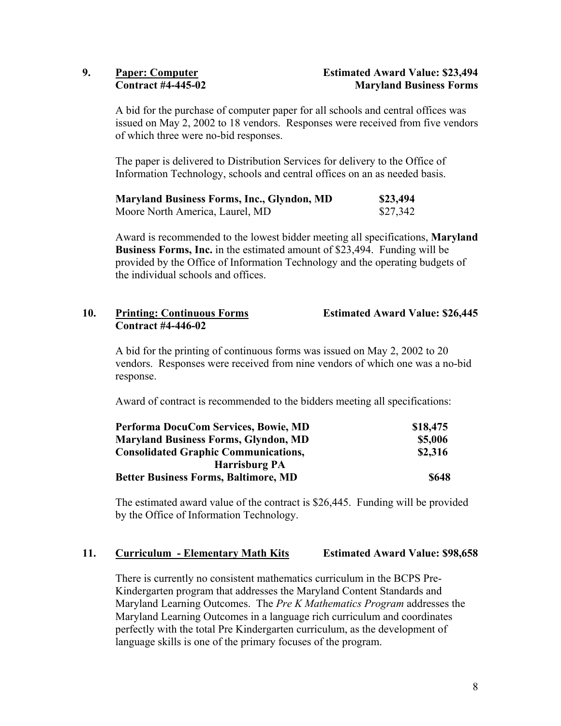A bid for the purchase of computer paper for all schools and central offices was issued on May 2, 2002 to 18 vendors. Responses were received from five vendors of which three were no-bid responses.

The paper is delivered to Distribution Services for delivery to the Office of Information Technology, schools and central offices on an as needed basis.

| <b>Maryland Business Forms, Inc., Glyndon, MD</b> | \$23,494 |
|---------------------------------------------------|----------|
| Moore North America, Laurel, MD                   | \$27,342 |

Award is recommended to the lowest bidder meeting all specifications, **Maryland Business Forms, Inc.** in the estimated amount of \$23,494. Funding will be provided by the Office of Information Technology and the operating budgets of the individual schools and offices.

# **10. Printing: Continuous Forms Estimated Award Value: \$26,445 Contract #4-446-02**

A bid for the printing of continuous forms was issued on May 2, 2002 to 20 vendors. Responses were received from nine vendors of which one was a no-bid response.

Award of contract is recommended to the bidders meeting all specifications:

| Performa DocuCom Services, Bowie, MD        | \$18,475 |
|---------------------------------------------|----------|
| <b>Maryland Business Forms, Glyndon, MD</b> | \$5,006  |
| <b>Consolidated Graphic Communications,</b> | \$2,316  |
| <b>Harrisburg PA</b>                        |          |
| <b>Better Business Forms, Baltimore, MD</b> | \$648    |

The estimated award value of the contract is \$26,445. Funding will be provided by the Office of Information Technology.

# **11. Curriculum - Elementary Math Kits Estimated Award Value: \$98,658**

There is currently no consistent mathematics curriculum in the BCPS Pre-Kindergarten program that addresses the Maryland Content Standards and Maryland Learning Outcomes. The *Pre K Mathematics Program* addresses the Maryland Learning Outcomes in a language rich curriculum and coordinates perfectly with the total Pre Kindergarten curriculum, as the development of language skills is one of the primary focuses of the program.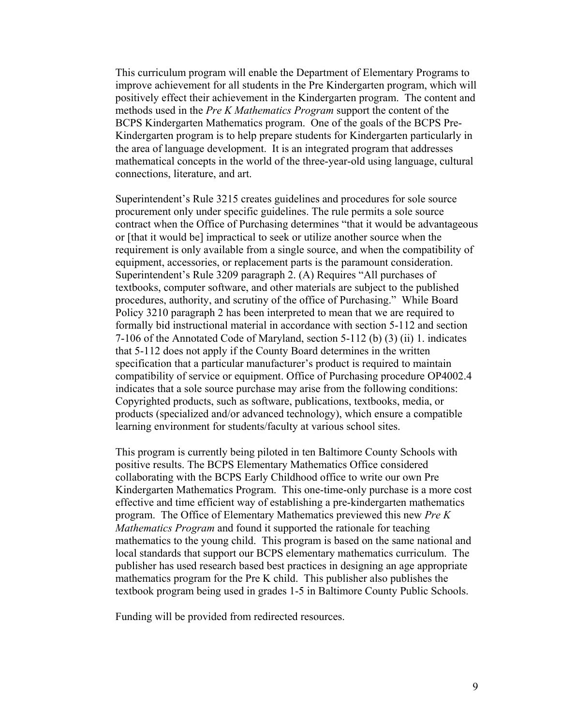This curriculum program will enable the Department of Elementary Programs to improve achievement for all students in the Pre Kindergarten program, which will positively effect their achievement in the Kindergarten program. The content and methods used in the *Pre K Mathematics Program* support the content of the BCPS Kindergarten Mathematics program. One of the goals of the BCPS Pre-Kindergarten program is to help prepare students for Kindergarten particularly in the area of language development. It is an integrated program that addresses mathematical concepts in the world of the three-year-old using language, cultural connections, literature, and art.

Superintendent's Rule 3215 creates guidelines and procedures for sole source procurement only under specific guidelines. The rule permits a sole source contract when the Office of Purchasing determines "that it would be advantageous or [that it would be] impractical to seek or utilize another source when the requirement is only available from a single source, and when the compatibility of equipment, accessories, or replacement parts is the paramount consideration. Superintendent's Rule 3209 paragraph 2. (A) Requires "All purchases of textbooks, computer software, and other materials are subject to the published procedures, authority, and scrutiny of the office of Purchasing." While Board Policy 3210 paragraph 2 has been interpreted to mean that we are required to formally bid instructional material in accordance with section 5-112 and section 7-106 of the Annotated Code of Maryland, section 5-112 (b) (3) (ii) 1. indicates that 5-112 does not apply if the County Board determines in the written specification that a particular manufacturer's product is required to maintain compatibility of service or equipment. Office of Purchasing procedure OP4002.4 indicates that a sole source purchase may arise from the following conditions: Copyrighted products, such as software, publications, textbooks, media, or products (specialized and/or advanced technology), which ensure a compatible learning environment for students/faculty at various school sites.

This program is currently being piloted in ten Baltimore County Schools with positive results. The BCPS Elementary Mathematics Office considered collaborating with the BCPS Early Childhood office to write our own Pre Kindergarten Mathematics Program. This one-time-only purchase is a more cost effective and time efficient way of establishing a pre-kindergarten mathematics program. The Office of Elementary Mathematics previewed this new *Pre K Mathematics Program* and found it supported the rationale for teaching mathematics to the young child. This program is based on the same national and local standards that support our BCPS elementary mathematics curriculum. The publisher has used research based best practices in designing an age appropriate mathematics program for the Pre K child. This publisher also publishes the textbook program being used in grades 1-5 in Baltimore County Public Schools.

Funding will be provided from redirected resources.